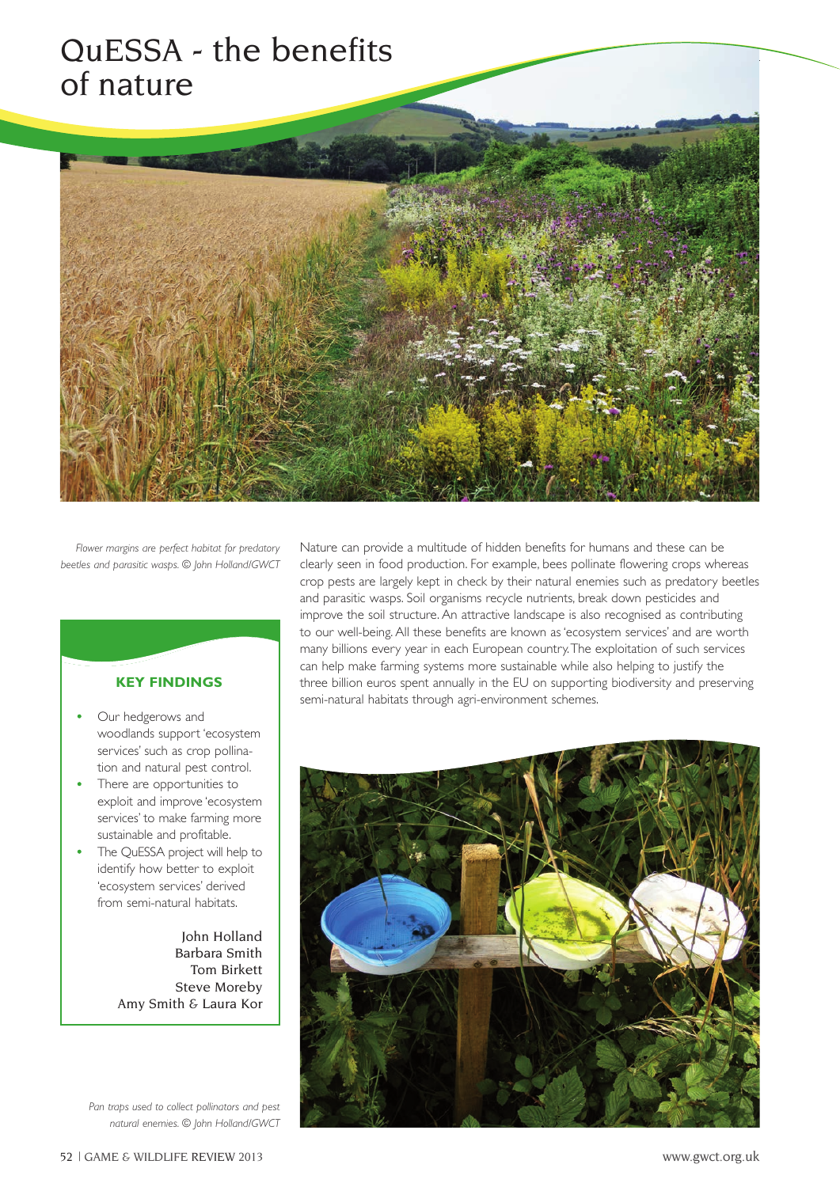## QuESSA - the benefits of nature



*Flower margins are perfect habitat for predatory beetles and parasitic wasps. © John Holland/GWCT*

## **KEY FINDINGS**

- Our hedgerows and woodlands support 'ecosystem services' such as crop pollination and natural pest control.
- There are opportunities to exploit and improve 'ecosystem services' to make farming more sustainable and profitable.
- The QuESSA project will help to identify how better to exploit 'ecosystem services' derived from semi-natural habitats.

John Holland Barbara Smith Tom Birkett Steve Moreby Amy Smith & Laura Kor

*Pan traps used to collect pollinators and pest natural enemies. © John Holland/GWCT* Nature can provide a multitude of hidden benefits for humans and these can be clearly seen in food production. For example, bees pollinate flowering crops whereas crop pests are largely kept in check by their natural enemies such as predatory beetles and parasitic wasps. Soil organisms recycle nutrients, break down pesticides and improve the soil structure. An attractive landscape is also recognised as contributing to our well-being. All these benefits are known as 'ecosystem services' and are worth many billions every year in each European country. The exploitation of such services can help make farming systems more sustainable while also helping to justify the three billion euros spent annually in the EU on supporting biodiversity and preserving semi-natural habitats through agri-environment schemes.